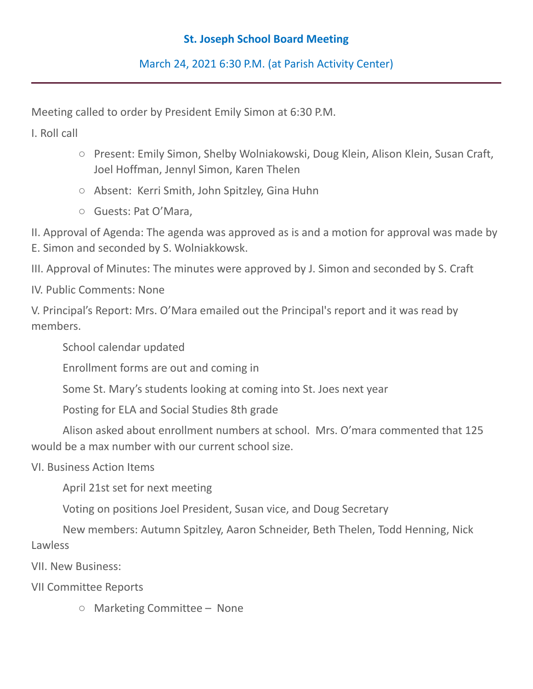## **St. Joseph School Board Meeting**

March 24, 2021 6:30 P.M. (at Parish Activity Center)

Meeting called to order by President Emily Simon at 6:30 P.M.

I. Roll call

- Present: Emily Simon, Shelby Wolniakowski, Doug Klein, Alison Klein, Susan Craft, Joel Hoffman, Jennyl Simon, Karen Thelen
- Absent: Kerri Smith, John Spitzley, Gina Huhn
- Guests: Pat O'Mara,

II. Approval of Agenda: The agenda was approved as is and a motion for approval was made by E. Simon and seconded by S. Wolniakkowsk.

III. Approval of Minutes: The minutes were approved by J. Simon and seconded by S. Craft

IV. Public Comments: None

V. Principal's Report: Mrs. O'Mara emailed out the Principal's report and it was read by members.

School calendar updated

Enrollment forms are out and coming in

Some St. Mary's students looking at coming into St. Joes next year

Posting for ELA and Social Studies 8th grade

Alison asked about enrollment numbers at school. Mrs. O'mara commented that 125 would be a max number with our current school size.

VI. Business Action Items

April 21st set for next meeting

Voting on positions Joel President, Susan vice, and Doug Secretary

New members: Autumn Spitzley, Aaron Schneider, Beth Thelen, Todd Henning, Nick Lawless

VII. New Business:

VII Committee Reports

○ Marketing Committee – None